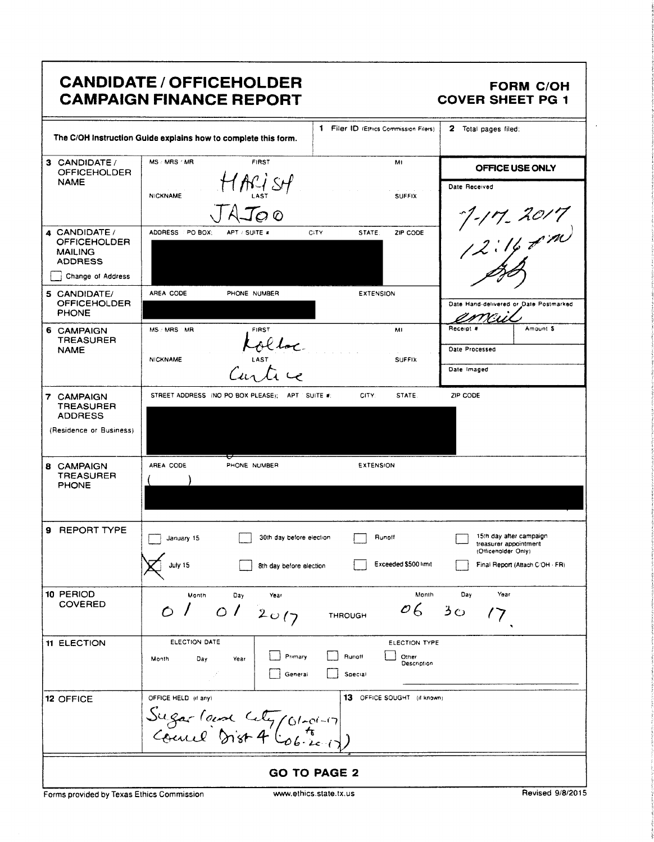# **CANDIDATE / OFFICEHOLDER CAMPAIGN FINANCE REPORT**

#### **FORM C/OH COVER SHEET PG 1**

|                                                                                                                                      | 1 Filer ID (Ethics Commission Filers)<br>The C/OH instruction Guide explains how to complete this form.                   | 2<br>Total pages filed:                                                                                    |  |
|--------------------------------------------------------------------------------------------------------------------------------------|---------------------------------------------------------------------------------------------------------------------------|------------------------------------------------------------------------------------------------------------|--|
| 3 CANDIDATE/<br><b>OFFICEHOLDER</b><br><b>NAME</b>                                                                                   | MS / MRS / MR<br><b>FIRST</b><br>M1<br>HARI SH<br><b>NICKNAME</b><br><b>SUFFIX</b><br>$\sim$ 0                            | OFFICE USE ONLY<br>Date Received                                                                           |  |
| 4 CANDIDATE /<br><b>OFFICEHOLDER</b><br><b>MAILING</b><br><b>ADDRESS</b><br>Change of Address<br>5 CANDIDATE/<br><b>OFFICEHOLDER</b> | ADDRESS PO BOX;<br>CITY<br>STATE:<br>ZIP CODE<br>APT / SUITE #<br>AREA CODE<br><b>EXTENSION</b><br>PHONE NUMBER           | ~1-17.2017<br> 2:14 p <sup>.</sup> m<br>Date Hand-delivered or Date Postmarked                             |  |
| <b>PHONE</b><br><b>6 CAMPAIGN</b><br><b>TREASURER</b><br><b>NAME</b>                                                                 | MS: MRS MR<br>FIRST<br>MI<br>Lolloc<br>Curtice<br><b>NICKNAME</b><br><b>SUFFIX</b>                                        | Receipt #<br>Amount 5<br>Date Processed<br>Date Imaged                                                     |  |
| 7 CAMPAIGN<br><b>TREASURER</b><br><b>ADDRESS</b><br>(Residence or Business)                                                          | STREET ADDRESS (NO PO BOX PLEASE); APT SUITE #:<br>CITY:<br>STATE.                                                        | ZIP CODE                                                                                                   |  |
| <b>8 CAMPAIGN</b><br><b>TREASURER</b><br><b>PHONE</b>                                                                                | AREA CODE<br>PHONE NUMBER<br><b>EXTENSION</b>                                                                             |                                                                                                            |  |
| 9 REPORT TYPE                                                                                                                        | 30th day before election<br>Runott<br>January 15<br>Exceeded \$500 limit<br>July 15<br>8th day before alection            | 15th day after campaign<br>treasurer appointment<br>(Otticeholder Only)<br>Final Report (Attach C/OH - FR) |  |
| 10 PERIOD<br><b>COVERED</b>                                                                                                          | Month<br>Month<br>Day<br>Year<br>$\mathcal{O}6$<br>012017<br>$\circ$<br><b>THROUGH</b>                                    | Day<br>Year<br>$3^{\circ}$                                                                                 |  |
| <b>11 ELECTION</b>                                                                                                                   | ELECTION DATE<br>ELECTION TYPE<br>Primary<br>Runott<br>Other<br>Month<br>Day<br>Year<br>Description<br>General<br>Special |                                                                                                            |  |
| 12 OFFICE                                                                                                                            | 13 OFFICE SOUGHT (if known)<br>OFFICE HELD (if any)<br>Sugar land Cety (01-01-17)                                         |                                                                                                            |  |
| <b>GO TO PAGE 2</b>                                                                                                                  |                                                                                                                           |                                                                                                            |  |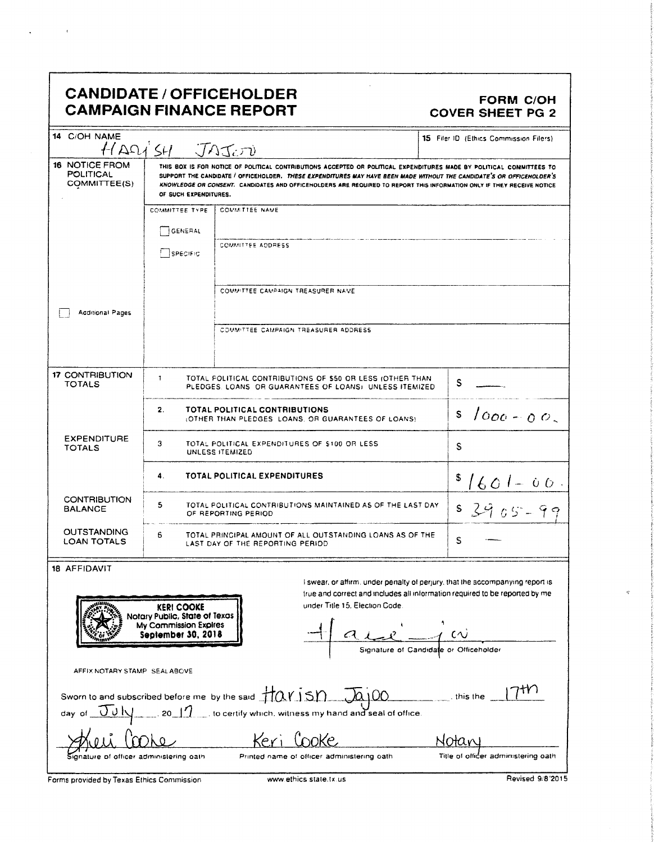## CANDIDATE / OFFICEHOLDER<br>CAMPAIGN FINANCE REPORT COVER SHEET PG 2 **CAMPAIGN FINANCE REPORT**

 $\epsilon$ 

| 14 C/OH NAME<br>15 Filer ID (Ethics Commission Filers)<br>HADJSH JAJOJ                                                                                                                                                                                                                                                               |                                                                                                                                                                                                                                                                                                                                                                                                  |                                                                                           |                                        |  |
|--------------------------------------------------------------------------------------------------------------------------------------------------------------------------------------------------------------------------------------------------------------------------------------------------------------------------------------|--------------------------------------------------------------------------------------------------------------------------------------------------------------------------------------------------------------------------------------------------------------------------------------------------------------------------------------------------------------------------------------------------|-------------------------------------------------------------------------------------------|----------------------------------------|--|
| 16 NOTICE FROM<br><b>POLITICAL</b><br>COMMITTEE(S)                                                                                                                                                                                                                                                                                   | THIS BOX IS FOR NOTICE OF POLITICAL CONTRIBUTIONS ACCEPTED OR POLITICAL EXPENDITURES MADE BY POLITICAL COMMITTEES TO<br>SUPPORT THE CANDIDATE / OFFICEHOLDER. THESE EXPENDITURES MAY HAVE BEEN MADE WITHOUT THE CANDIDATE'S OR OFFICEHOLDER'S<br>KNOWLEDGE OR CONSENT. CANDIDATES AND OFFICEHOLDERS ARE REQUIRED TO REPORT THIS INFORMATION ONLY IF THEY RECEIVE NOTICE<br>OF SUCH EXPENDITURES. |                                                                                           |                                        |  |
|                                                                                                                                                                                                                                                                                                                                      | <b>COMMITTEE TYPE</b>                                                                                                                                                                                                                                                                                                                                                                            | <b>COMMITTEE NAME</b>                                                                     |                                        |  |
|                                                                                                                                                                                                                                                                                                                                      | GENERAL                                                                                                                                                                                                                                                                                                                                                                                          |                                                                                           |                                        |  |
|                                                                                                                                                                                                                                                                                                                                      | <b>SPECIFIC</b>                                                                                                                                                                                                                                                                                                                                                                                  | COMMITTEE ADDRESS                                                                         |                                        |  |
|                                                                                                                                                                                                                                                                                                                                      |                                                                                                                                                                                                                                                                                                                                                                                                  | COMMITTEE CAMPAIGN TREASURER NAME                                                         |                                        |  |
| <b>Acditional Pages</b>                                                                                                                                                                                                                                                                                                              |                                                                                                                                                                                                                                                                                                                                                                                                  |                                                                                           |                                        |  |
|                                                                                                                                                                                                                                                                                                                                      |                                                                                                                                                                                                                                                                                                                                                                                                  | COMMITTEE CAMPAIGN TREASURER ADDRESS                                                      |                                        |  |
| <b>17 CONTRIBUTION</b><br><b>TOTALS</b>                                                                                                                                                                                                                                                                                              | $\mathbf{r}$<br>TOTAL POLITICAL CONTRIBUTIONS OF \$50 OR LESS (OTHER THAN<br>S<br>PLEDGES, LOANS, OR GUARANTEES OF LOANS), UNLESS ITEMIZED                                                                                                                                                                                                                                                       |                                                                                           |                                        |  |
|                                                                                                                                                                                                                                                                                                                                      | 2.                                                                                                                                                                                                                                                                                                                                                                                               | <b>TOTAL POLITICAL CONTRIBUTIONS</b><br>OTHER THAN PLEDGES LOANS, OR GUARANTEES OF LOANS) | $1000 - 00$<br>S                       |  |
| <b>EXPENDITURE</b><br>3<br>TOTAL POLITICAL EXPENDITURES OF \$100 OR LESS<br><b>TOTALS</b><br>UNLESS ITEMIZED                                                                                                                                                                                                                         |                                                                                                                                                                                                                                                                                                                                                                                                  |                                                                                           | S                                      |  |
|                                                                                                                                                                                                                                                                                                                                      | 4.                                                                                                                                                                                                                                                                                                                                                                                               | TOTAL POLITICAL EXPENDITURES                                                              | $1601 - 00.$                           |  |
| <b>CONTRIBUTION</b><br><b>BALANCE</b>                                                                                                                                                                                                                                                                                                | 5<br>TOTAL POLITICAL CONTRIBUTIONS MAINTAINED AS OF THE LAST DAY<br>S<br>$3965 - 99$<br>OF REPORTING PERIOD                                                                                                                                                                                                                                                                                      |                                                                                           |                                        |  |
| <b>OUTSTANDING</b><br><b>LOAN TOTALS</b>                                                                                                                                                                                                                                                                                             | 6<br>TOTAL PRINCIPAL AMOUNT OF ALL OUTSTANDING LOANS AS OF THE<br>S<br>LAST DAY OF THE REPORTING PERIOD                                                                                                                                                                                                                                                                                          |                                                                                           |                                        |  |
|                                                                                                                                                                                                                                                                                                                                      |                                                                                                                                                                                                                                                                                                                                                                                                  |                                                                                           |                                        |  |
| 18 AFFIDAVIT<br>I swear, or affirm, under penalty of perjury, that the accompanying report is<br>true and correct and includes all information required to be reported by me<br>under Title 15. Election Code.<br><b>KERI COOKE</b><br>Notary Public, State of Texas<br>My Commission Expires<br>$-1$ W<br><b>September 30, 2018</b> |                                                                                                                                                                                                                                                                                                                                                                                                  |                                                                                           |                                        |  |
|                                                                                                                                                                                                                                                                                                                                      |                                                                                                                                                                                                                                                                                                                                                                                                  |                                                                                           | Signature of Candidate or Officeholder |  |
| AFFIX NOTARY STAMP SEALABOVE                                                                                                                                                                                                                                                                                                         |                                                                                                                                                                                                                                                                                                                                                                                                  |                                                                                           |                                        |  |

|                                         | Sworn to and subscribed before me by the said $\frac{1}{2}$ ( $\alpha$ i $\frac{1}{2}$ $\alpha$ i 00<br>day of $\overline{J} \cup \overline{N}$ 20 11 to certify which, witness my hand and seal of office. | this the                            |
|-----------------------------------------|-------------------------------------------------------------------------------------------------------------------------------------------------------------------------------------------------------------|-------------------------------------|
| Speci Cooke                             | Keri ('nnke.                                                                                                                                                                                                | Notary                              |
| Signature of officer administering oath | Printed name of officer administering oath                                                                                                                                                                  | Title of officer administering oath |

Forms provided by Texas Ethics Commission www.ethics state.tx.us Revised 9:8'2015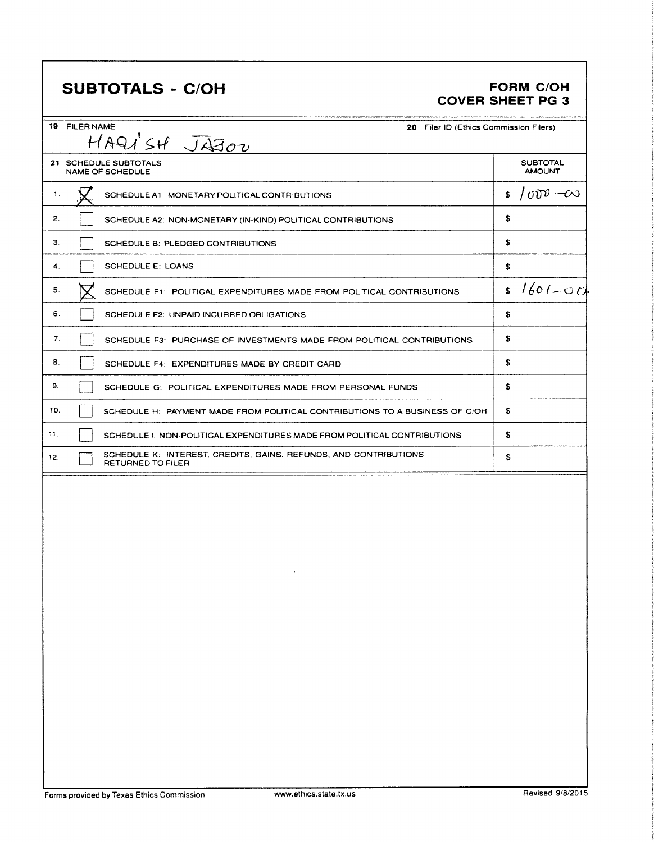# SUBTOTALS - C/OH FORM C/OH

# COVER SHEET PG 3

| 19 FILER NAME<br>20 Filer ID (Ethics Commission Filers)<br>HAQI'SH JAJOU |                                                                                       |  |    |                                  |
|--------------------------------------------------------------------------|---------------------------------------------------------------------------------------|--|----|----------------------------------|
|                                                                          | 21 SCHEDULE SUBTOTALS<br>NAME OF SCHEDULE                                             |  |    | <b>SUBTOTAL</b><br><b>AMOUNT</b> |
| 1.                                                                       | SCHEDULE A1: MONETARY POLITICAL CONTRIBUTIONS                                         |  | \$ | $1000 - 60$                      |
| 2.                                                                       | SCHEDULE A2: NON-MONETARY (IN-KIND) POLITICAL CONTRIBUTIONS                           |  | S  |                                  |
| З.                                                                       | SCHEDULE B: PLEDGED CONTRIBUTIONS                                                     |  | \$ |                                  |
| 4.                                                                       | <b>SCHEDULE E: LOANS</b>                                                              |  | \$ |                                  |
| 5.                                                                       | SCHEDULE F1: POLITICAL EXPENDITURES MADE FROM POLITICAL CONTRIBUTIONS                 |  | \$ | $1601 - 00$                      |
| 6.                                                                       | SCHEDULE F2: UNPAID INCURRED OBLIGATIONS                                              |  | \$ |                                  |
| 7.                                                                       | SCHEDULE F3: PURCHASE OF INVESTMENTS MADE FROM POLITICAL CONTRIBUTIONS                |  | \$ |                                  |
| 8.                                                                       | SCHEDULE F4: EXPENDITURES MADE BY CREDIT CARD                                         |  | \$ |                                  |
| 9.                                                                       | SCHEDULE G: POLITICAL EXPENDITURES MADE FROM PERSONAL FUNDS                           |  | \$ |                                  |
| 10.                                                                      | SCHEDULE H: PAYMENT MADE FROM POLITICAL CONTRIBUTIONS TO A BUSINESS OF C/OH           |  | \$ |                                  |
| 11.                                                                      | SCHEDULE I: NON-POLITICAL EXPENDITURES MADE FROM POLITICAL CONTRIBUTIONS              |  | \$ |                                  |
| 12.                                                                      | SCHEDULE K: INTEREST, CREDITS, GAINS, REFUNDS, AND CONTRIBUTIONS<br>RETURNED TO FILER |  | \$ |                                  |
|                                                                          |                                                                                       |  |    |                                  |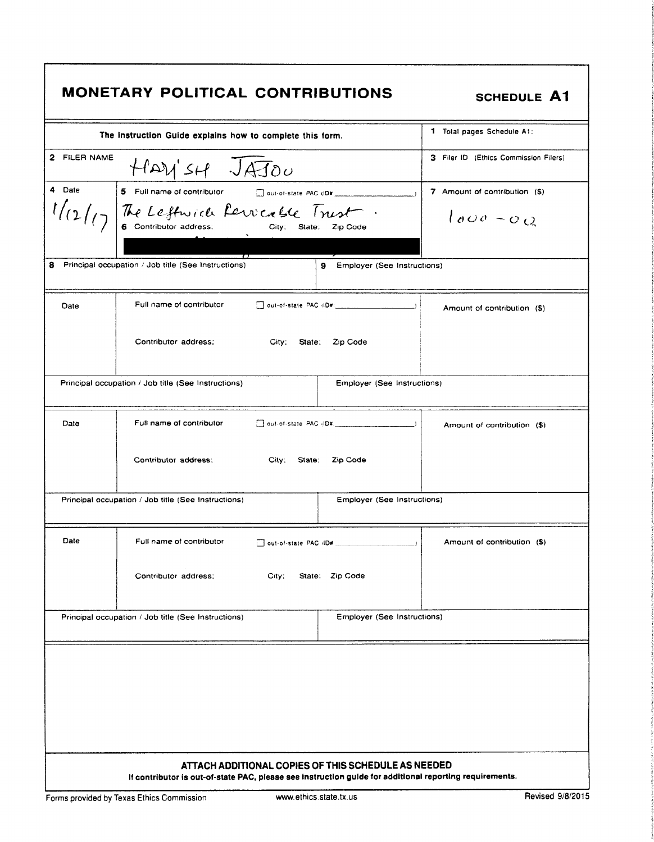|              | The Instruction Guide explains how to complete this form.                            | 1 Total pages Schedule A1:            |
|--------------|--------------------------------------------------------------------------------------|---------------------------------------|
| 2 FILER NAME | HAVISH JAJOU                                                                         | 3 Filer ID (Ethics Commission Filers) |
| 4 Date       | 5 Full name of contributor<br>Out-of-state PAC (ID#                                  | 7 Amount of contribution (\$)         |
|              | 1/12/17 The Leftwick farrick Sie Trust                                               | $1000 - 0Q$                           |
|              | $\bm{\tau}$                                                                          |                                       |
|              | Principal occupation / Job title (See Instructions)<br>9 Employer (See Instructions) |                                       |
| Date         | Full name of contributor<br>$\Box$ out-of-state PAC (iD#: $\Box$ )                   | Amount of contribution (\$)           |
|              | Contributor address:<br>City, State, Zip Code                                        |                                       |
|              | Principal occupation / Job title (See Instructions)<br>Employer (See Instructions)   |                                       |
| Date         | Full name of contributor                                                             | Amount of contribution (\$)           |
|              | Contributor address:<br>City; State; Zip Code                                        |                                       |
|              | Principal occupation / Job title (See Instructions)<br>Employer (See Instructions)   |                                       |
| Date         | Full name of contributor<br>out-of-state PAC (ID#                                    | Amount of contribution (\$)           |
|              | Contributor address;<br>State: Zip Code<br>$\mathsf{City}$ :                         |                                       |
|              | Employer (See Instructions)<br>Principal occupation / Job title (See Instructions)   |                                       |
|              |                                                                                      |                                       |
|              |                                                                                      |                                       |
|              |                                                                                      |                                       |
|              |                                                                                      |                                       |
|              |                                                                                      |                                       |